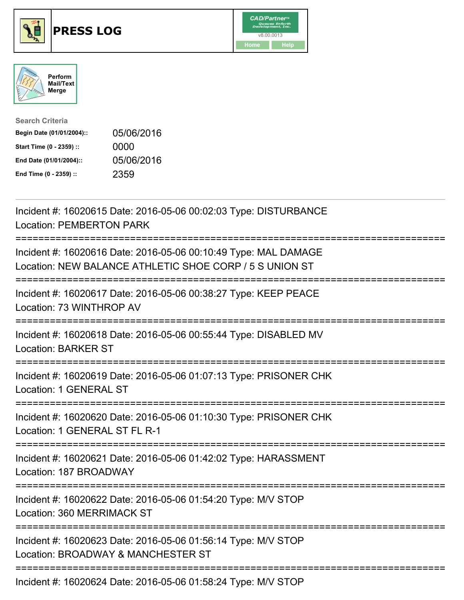

## **PRESS LOG** v8.00.0013





| <b>Search Criteria</b>    |            |
|---------------------------|------------|
| Begin Date (01/01/2004):: | 05/06/2016 |
| Start Time (0 - 2359) ::  | 0000       |
| End Date (01/01/2004)::   | 05/06/2016 |
| End Time (0 - 2359) ::    | 2359       |

Incident #: 16020615 Date: 2016-05-06 00:02:03 Type: DISTURBANCE Location: PEMBERTON PARK =========================================================================== Incident #: 16020616 Date: 2016-05-06 00:10:49 Type: MAL DAMAGE Location: NEW BALANCE ATHLETIC SHOE CORP / 5 S UNION ST =========================================================================== Incident #: 16020617 Date: 2016-05-06 00:38:27 Type: KEEP PEACE Location: 73 WINTHROP AV =========================================================================== Incident #: 16020618 Date: 2016-05-06 00:55:44 Type: DISABLED MV Location: BARKER ST =========================================================================== Incident #: 16020619 Date: 2016-05-06 01:07:13 Type: PRISONER CHK Location: 1 GENERAL ST =========================================================================== Incident #: 16020620 Date: 2016-05-06 01:10:30 Type: PRISONER CHK Location: 1 GENERAL ST FL R-1 =========================================================================== Incident #: 16020621 Date: 2016-05-06 01:42:02 Type: HARASSMENT Location: 187 BROADWAY =========================================================================== Incident #: 16020622 Date: 2016-05-06 01:54:20 Type: M/V STOP Location: 360 MERRIMACK ST =========================================================================== Incident #: 16020623 Date: 2016-05-06 01:56:14 Type: M/V STOP Location: BROADWAY & MANCHESTER ST ===========================================================================

Incident #: 16020624 Date: 2016-05-06 01:58:24 Type: M/V STOP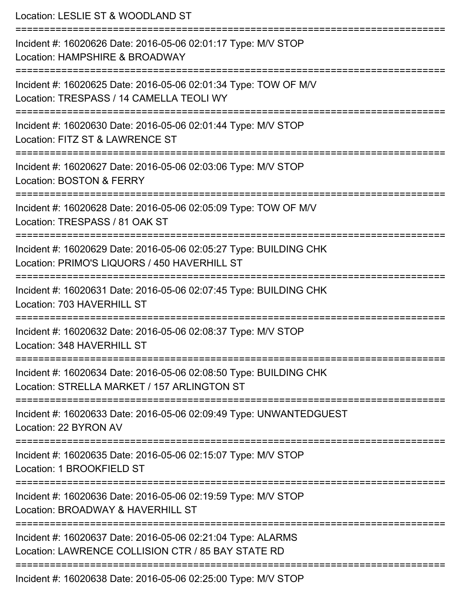Location: LESLIE ST & WOODLAND ST =========================================================================== Incident #: 16020626 Date: 2016-05-06 02:01:17 Type: M/V STOP Location: HAMPSHIRE & BROADWAY =========================================================================== Incident #: 16020625 Date: 2016-05-06 02:01:34 Type: TOW OF M/V Location: TRESPASS / 14 CAMELLA TEOLI WY =========================================================================== Incident #: 16020630 Date: 2016-05-06 02:01:44 Type: M/V STOP Location: FITZ ST & LAWRENCE ST =========================================================================== Incident #: 16020627 Date: 2016-05-06 02:03:06 Type: M/V STOP Location: BOSTON & FERRY =========================================================================== Incident #: 16020628 Date: 2016-05-06 02:05:09 Type: TOW OF M/V Location: TRESPASS / 81 OAK ST =========================================================================== Incident #: 16020629 Date: 2016-05-06 02:05:27 Type: BUILDING CHK Location: PRIMO'S LIQUORS / 450 HAVERHILL ST =========================================================================== Incident #: 16020631 Date: 2016-05-06 02:07:45 Type: BUILDING CHK Location: 703 HAVERHILL ST =========================================================================== Incident #: 16020632 Date: 2016-05-06 02:08:37 Type: M/V STOP Location: 348 HAVERHILL ST =========================================================================== Incident #: 16020634 Date: 2016-05-06 02:08:50 Type: BUILDING CHK Location: STRELLA MARKET / 157 ARLINGTON ST =========================================================================== Incident #: 16020633 Date: 2016-05-06 02:09:49 Type: UNWANTEDGUEST Location: 22 BYRON AV =========================================================================== Incident #: 16020635 Date: 2016-05-06 02:15:07 Type: M/V STOP Location: 1 BROOKFIFLD ST =========================================================================== Incident #: 16020636 Date: 2016-05-06 02:19:59 Type: M/V STOP Location: BROADWAY & HAVERHILL ST =========================================================================== Incident #: 16020637 Date: 2016-05-06 02:21:04 Type: ALARMS Location: LAWRENCE COLLISION CTR / 85 BAY STATE RD =========================================================================== Incident #: 16020638 Date: 2016-05-06 02:25:00 Type: M/V STOP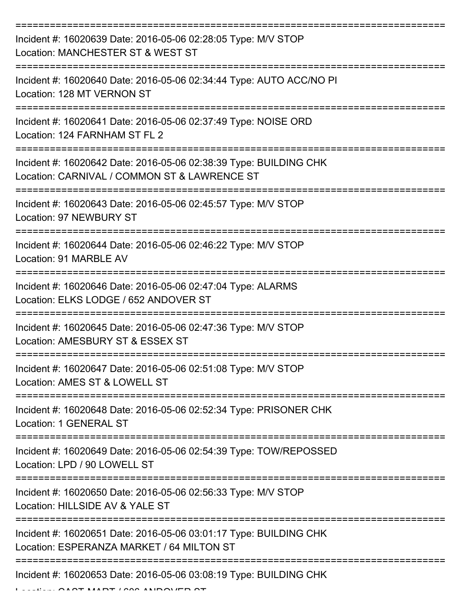| Incident #: 16020639 Date: 2016-05-06 02:28:05 Type: M/V STOP<br>Location: MANCHESTER ST & WEST ST                |
|-------------------------------------------------------------------------------------------------------------------|
| Incident #: 16020640 Date: 2016-05-06 02:34:44 Type: AUTO ACC/NO PI<br>Location: 128 MT VERNON ST                 |
| Incident #: 16020641 Date: 2016-05-06 02:37:49 Type: NOISE ORD<br>Location: 124 FARNHAM ST FL 2                   |
| Incident #: 16020642 Date: 2016-05-06 02:38:39 Type: BUILDING CHK<br>Location: CARNIVAL / COMMON ST & LAWRENCE ST |
| Incident #: 16020643 Date: 2016-05-06 02:45:57 Type: M/V STOP<br><b>Location: 97 NEWBURY ST</b>                   |
| Incident #: 16020644 Date: 2016-05-06 02:46:22 Type: M/V STOP<br>Location: 91 MARBLE AV                           |
| Incident #: 16020646 Date: 2016-05-06 02:47:04 Type: ALARMS<br>Location: ELKS LODGE / 652 ANDOVER ST              |
| Incident #: 16020645 Date: 2016-05-06 02:47:36 Type: M/V STOP<br>Location: AMESBURY ST & ESSEX ST                 |
| Incident #: 16020647 Date: 2016-05-06 02:51:08 Type: M/V STOP<br>Location: AMES ST & LOWELL ST                    |
| Incident #: 16020648 Date: 2016-05-06 02:52:34 Type: PRISONER CHK<br><b>Location: 1 GENERAL ST</b>                |
| Incident #: 16020649 Date: 2016-05-06 02:54:39 Type: TOW/REPOSSED<br>Location: LPD / 90 LOWELL ST                 |
| Incident #: 16020650 Date: 2016-05-06 02:56:33 Type: M/V STOP<br>Location: HILLSIDE AV & YALE ST                  |
| Incident #: 16020651 Date: 2016-05-06 03:01:17 Type: BUILDING CHK<br>Location: ESPERANZA MARKET / 64 MILTON ST    |
| Incident #: 16020653 Date: 2016-05-06 03:08:19 Type: BUILDING CHK                                                 |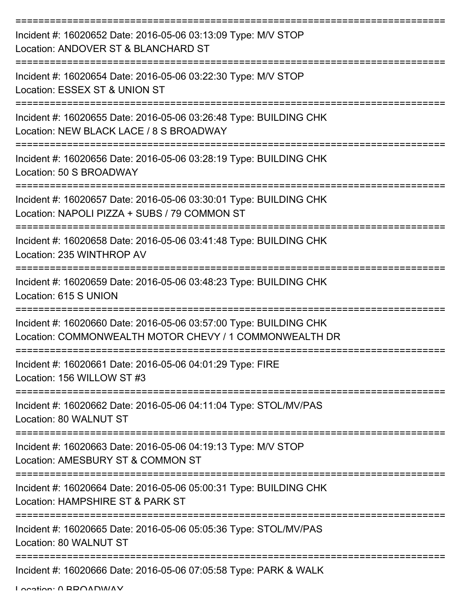| Incident #: 16020652 Date: 2016-05-06 03:13:09 Type: M/V STOP<br>Location: ANDOVER ST & BLANCHARD ST                        |
|-----------------------------------------------------------------------------------------------------------------------------|
| Incident #: 16020654 Date: 2016-05-06 03:22:30 Type: M/V STOP<br>Location: ESSEX ST & UNION ST                              |
| Incident #: 16020655 Date: 2016-05-06 03:26:48 Type: BUILDING CHK<br>Location: NEW BLACK LACE / 8 S BROADWAY                |
| Incident #: 16020656 Date: 2016-05-06 03:28:19 Type: BUILDING CHK<br>Location: 50 S BROADWAY                                |
| Incident #: 16020657 Date: 2016-05-06 03:30:01 Type: BUILDING CHK<br>Location: NAPOLI PIZZA + SUBS / 79 COMMON ST           |
| Incident #: 16020658 Date: 2016-05-06 03:41:48 Type: BUILDING CHK<br>Location: 235 WINTHROP AV                              |
| Incident #: 16020659 Date: 2016-05-06 03:48:23 Type: BUILDING CHK<br>Location: 615 S UNION                                  |
| Incident #: 16020660 Date: 2016-05-06 03:57:00 Type: BUILDING CHK<br>Location: COMMONWEALTH MOTOR CHEVY / 1 COMMONWEALTH DR |
| Incident #: 16020661 Date: 2016-05-06 04:01:29 Type: FIRE<br>Location: 156 WILLOW ST #3                                     |
| Incident #: 16020662 Date: 2016-05-06 04:11:04 Type: STOL/MV/PAS<br>Location: 80 WALNUT ST                                  |
| Incident #: 16020663 Date: 2016-05-06 04:19:13 Type: M/V STOP<br>Location: AMESBURY ST & COMMON ST                          |
| Incident #: 16020664 Date: 2016-05-06 05:00:31 Type: BUILDING CHK<br>Location: HAMPSHIRE ST & PARK ST                       |
| Incident #: 16020665 Date: 2016-05-06 05:05:36 Type: STOL/MV/PAS<br>Location: 80 WALNUT ST                                  |
| Incident #: 16020666 Date: 2016-05-06 07:05:58 Type: PARK & WALK                                                            |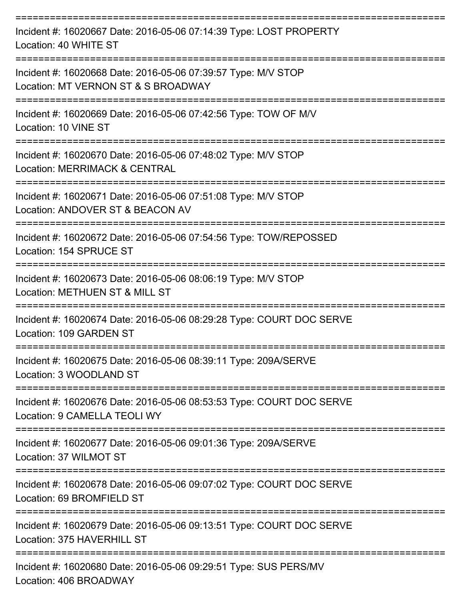| Incident #: 16020667 Date: 2016-05-06 07:14:39 Type: LOST PROPERTY<br>Location: 40 WHITE ST               |
|-----------------------------------------------------------------------------------------------------------|
| Incident #: 16020668 Date: 2016-05-06 07:39:57 Type: M/V STOP<br>Location: MT VERNON ST & S BROADWAY      |
| Incident #: 16020669 Date: 2016-05-06 07:42:56 Type: TOW OF M/V<br>Location: 10 VINE ST                   |
| Incident #: 16020670 Date: 2016-05-06 07:48:02 Type: M/V STOP<br><b>Location: MERRIMACK &amp; CENTRAL</b> |
| Incident #: 16020671 Date: 2016-05-06 07:51:08 Type: M/V STOP<br>Location: ANDOVER ST & BEACON AV         |
| Incident #: 16020672 Date: 2016-05-06 07:54:56 Type: TOW/REPOSSED<br>Location: 154 SPRUCE ST              |
| Incident #: 16020673 Date: 2016-05-06 08:06:19 Type: M/V STOP<br>Location: METHUEN ST & MILL ST           |
| Incident #: 16020674 Date: 2016-05-06 08:29:28 Type: COURT DOC SERVE<br>Location: 109 GARDEN ST           |
| Incident #: 16020675 Date: 2016-05-06 08:39:11 Type: 209A/SERVE<br>Location: 3 WOODLAND ST                |
| Incident #: 16020676 Date: 2016-05-06 08:53:53 Type: COURT DOC SERVE<br>Location: 9 CAMELLA TEOLI WY      |
| Incident #: 16020677 Date: 2016-05-06 09:01:36 Type: 209A/SERVE<br>Location: 37 WILMOT ST                 |
| Incident #: 16020678 Date: 2016-05-06 09:07:02 Type: COURT DOC SERVE<br>Location: 69 BROMFIELD ST         |
| Incident #: 16020679 Date: 2016-05-06 09:13:51 Type: COURT DOC SERVE<br>Location: 375 HAVERHILL ST        |
| Incident #: 16020680 Date: 2016-05-06 09:29:51 Type: SUS PERS/MV                                          |

Location: 406 BROADWAY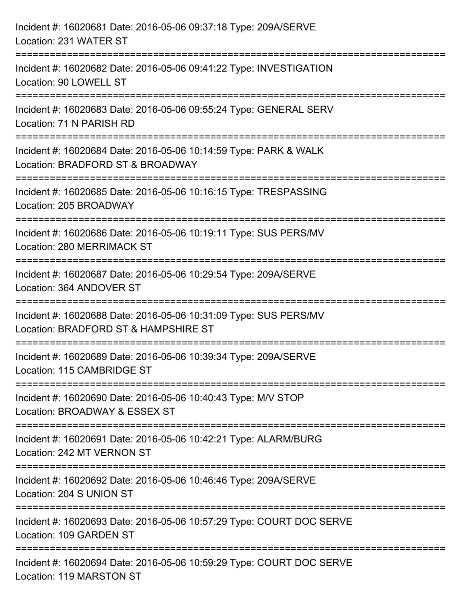| Incident #: 16020681 Date: 2016-05-06 09:37:18 Type: 209A/SERVE<br>Location: 231 WATER ST                                             |
|---------------------------------------------------------------------------------------------------------------------------------------|
| =====================================<br>Incident #: 16020682 Date: 2016-05-06 09:41:22 Type: INVESTIGATION<br>Location: 90 LOWELL ST |
| Incident #: 16020683 Date: 2016-05-06 09:55:24 Type: GENERAL SERV<br>Location: 71 N PARISH RD                                         |
| Incident #: 16020684 Date: 2016-05-06 10:14:59 Type: PARK & WALK<br>Location: BRADFORD ST & BROADWAY<br>============================  |
| Incident #: 16020685 Date: 2016-05-06 10:16:15 Type: TRESPASSING<br>Location: 205 BROADWAY                                            |
| Incident #: 16020686 Date: 2016-05-06 10:19:11 Type: SUS PERS/MV<br>Location: 280 MERRIMACK ST                                        |
| ---------------------<br>Incident #: 16020687 Date: 2016-05-06 10:29:54 Type: 209A/SERVE<br>Location: 364 ANDOVER ST                  |
| Incident #: 16020688 Date: 2016-05-06 10:31:09 Type: SUS PERS/MV<br>Location: BRADFORD ST & HAMPSHIRE ST                              |
| Incident #: 16020689 Date: 2016-05-06 10:39:34 Type: 209A/SERVE<br>Location: 115 CAMBRIDGE ST                                         |
| Incident #: 16020690 Date: 2016-05-06 10:40:43 Type: M/V STOP<br>Location: BROADWAY & ESSEX ST                                        |
| Incident #: 16020691 Date: 2016-05-06 10:42:21 Type: ALARM/BURG<br>Location: 242 MT VERNON ST                                         |
| Incident #: 16020692 Date: 2016-05-06 10:46:46 Type: 209A/SERVE<br>Location: 204 S UNION ST                                           |
| Incident #: 16020693 Date: 2016-05-06 10:57:29 Type: COURT DOC SERVE<br>Location: 109 GARDEN ST                                       |
| Incident #: 16020694 Date: 2016-05-06 10:59:29 Type: COURT DOC SERVE<br>Location: 119 MARSTON ST                                      |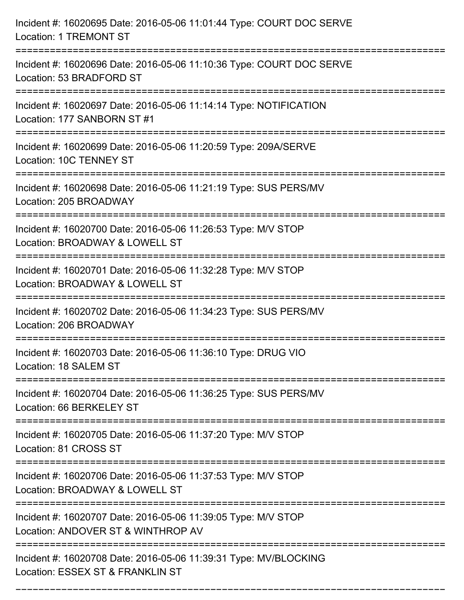| Incident #: 16020695 Date: 2016-05-06 11:01:44 Type: COURT DOC SERVE<br><b>Location: 1 TREMONT ST</b>                                     |
|-------------------------------------------------------------------------------------------------------------------------------------------|
| Incident #: 16020696 Date: 2016-05-06 11:10:36 Type: COURT DOC SERVE<br>Location: 53 BRADFORD ST                                          |
| Incident #: 16020697 Date: 2016-05-06 11:14:14 Type: NOTIFICATION<br>Location: 177 SANBORN ST #1<br>===================================== |
| Incident #: 16020699 Date: 2016-05-06 11:20:59 Type: 209A/SERVE<br>Location: 10C TENNEY ST                                                |
| Incident #: 16020698 Date: 2016-05-06 11:21:19 Type: SUS PERS/MV<br>Location: 205 BROADWAY                                                |
| Incident #: 16020700 Date: 2016-05-06 11:26:53 Type: M/V STOP<br>Location: BROADWAY & LOWELL ST                                           |
| Incident #: 16020701 Date: 2016-05-06 11:32:28 Type: M/V STOP<br>Location: BROADWAY & LOWELL ST<br>:===============                       |
| Incident #: 16020702 Date: 2016-05-06 11:34:23 Type: SUS PERS/MV<br>Location: 206 BROADWAY                                                |
| Incident #: 16020703 Date: 2016-05-06 11:36:10 Type: DRUG VIO<br>Location: 18 SALEM ST                                                    |
| Incident #: 16020704 Date: 2016-05-06 11:36:25 Type: SUS PERS/MV<br>Location: 66 BERKELEY ST                                              |
| Incident #: 16020705 Date: 2016-05-06 11:37:20 Type: M/V STOP<br>Location: 81 CROSS ST                                                    |
| Incident #: 16020706 Date: 2016-05-06 11:37:53 Type: M/V STOP<br>Location: BROADWAY & LOWELL ST                                           |
| Incident #: 16020707 Date: 2016-05-06 11:39:05 Type: M/V STOP<br>Location: ANDOVER ST & WINTHROP AV                                       |
| Incident #: 16020708 Date: 2016-05-06 11:39:31 Type: MV/BLOCKING<br>Location: ESSEX ST & FRANKLIN ST                                      |

===========================================================================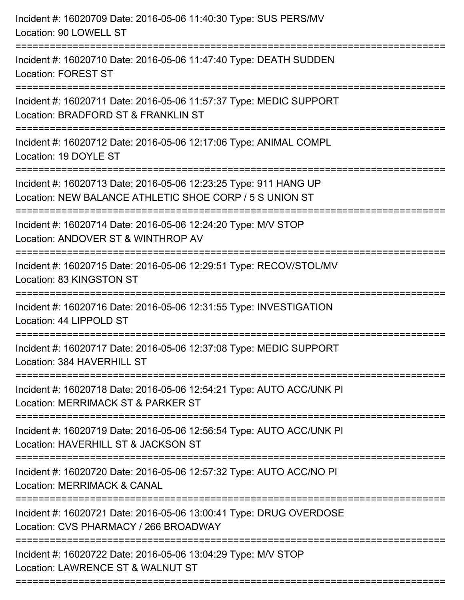| Incident #: 16020709 Date: 2016-05-06 11:40:30 Type: SUS PERS/MV<br>Location: 90 LOWELL ST                                                             |
|--------------------------------------------------------------------------------------------------------------------------------------------------------|
| Incident #: 16020710 Date: 2016-05-06 11:47:40 Type: DEATH SUDDEN<br><b>Location: FOREST ST</b>                                                        |
| Incident #: 16020711 Date: 2016-05-06 11:57:37 Type: MEDIC SUPPORT<br>Location: BRADFORD ST & FRANKLIN ST                                              |
| Incident #: 16020712 Date: 2016-05-06 12:17:06 Type: ANIMAL COMPL<br>Location: 19 DOYLE ST                                                             |
| Incident #: 16020713 Date: 2016-05-06 12:23:25 Type: 911 HANG UP<br>Location: NEW BALANCE ATHLETIC SHOE CORP / 5 S UNION ST                            |
| Incident #: 16020714 Date: 2016-05-06 12:24:20 Type: M/V STOP<br>Location: ANDOVER ST & WINTHROP AV                                                    |
| Incident #: 16020715 Date: 2016-05-06 12:29:51 Type: RECOV/STOL/MV<br>Location: 83 KINGSTON ST                                                         |
| Incident #: 16020716 Date: 2016-05-06 12:31:55 Type: INVESTIGATION<br>Location: 44 LIPPOLD ST                                                          |
| Incident #: 16020717 Date: 2016-05-06 12:37:08 Type: MEDIC SUPPORT<br>Location: 384 HAVERHILL ST                                                       |
| Incident #: 16020718 Date: 2016-05-06 12:54:21 Type: AUTO ACC/UNK PI<br>Location: MERRIMACK ST & PARKER ST                                             |
| Incident #: 16020719 Date: 2016-05-06 12:56:54 Type: AUTO ACC/UNK PI<br>Location: HAVERHILL ST & JACKSON ST                                            |
| Incident #: 16020720 Date: 2016-05-06 12:57:32 Type: AUTO ACC/NO PI<br>Location: MERRIMACK & CANAL                                                     |
| Incident #: 16020721 Date: 2016-05-06 13:00:41 Type: DRUG OVERDOSE<br>Location: CVS PHARMACY / 266 BROADWAY                                            |
| ======================<br>======================<br>Incident #: 16020722 Date: 2016-05-06 13:04:29 Type: M/V STOP<br>Location: LAWRENCE ST & WALNUT ST |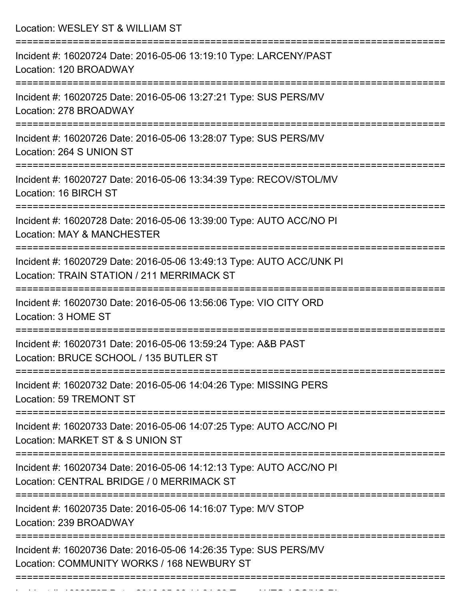Location: WESLEY ST & WILLIAM ST =========================================================================== Incident #: 16020724 Date: 2016-05-06 13:19:10 Type: LARCENY/PAST Location: 120 BROADWAY =========================================================================== Incident #: 16020725 Date: 2016-05-06 13:27:21 Type: SUS PERS/MV Location: 278 BROADWAY =========================================================================== Incident #: 16020726 Date: 2016-05-06 13:28:07 Type: SUS PERS/MV Location: 264 S UNION ST =========================================================================== Incident #: 16020727 Date: 2016-05-06 13:34:39 Type: RECOV/STOL/MV Location: 16 BIRCH ST =========================================================================== Incident #: 16020728 Date: 2016-05-06 13:39:00 Type: AUTO ACC/NO PI Location: MAY & MANCHESTER =========================================================================== Incident #: 16020729 Date: 2016-05-06 13:49:13 Type: AUTO ACC/UNK PI Location: TRAIN STATION / 211 MERRIMACK ST =========================================================================== Incident #: 16020730 Date: 2016-05-06 13:56:06 Type: VIO CITY ORD Location: 3 HOME ST =========================================================================== Incident #: 16020731 Date: 2016-05-06 13:59:24 Type: A&B PAST Location: BRUCE SCHOOL / 135 BUTLER ST =========================================================================== Incident #: 16020732 Date: 2016-05-06 14:04:26 Type: MISSING PERS Location: 59 TREMONT ST =========================================================================== Incident #: 16020733 Date: 2016-05-06 14:07:25 Type: AUTO ACC/NO PI Location: MARKET ST & S UNION ST =========================================================================== Incident #: 16020734 Date: 2016-05-06 14:12:13 Type: AUTO ACC/NO PI Location: CENTRAL BRIDGE / 0 MERRIMACK ST =========================================================================== Incident #: 16020735 Date: 2016-05-06 14:16:07 Type: M/V STOP Location: 239 BROADWAY =========================================================================== Incident #: 16020736 Date: 2016-05-06 14:26:35 Type: SUS PERS/MV Location: COMMUNITY WORKS / 168 NEWBURY ST ===========================================================================

Incident #: 16020737 Date: 2016 05 06 14:31:29 Type: 2016 05 14:31:29 Type: AUTO ACC/NO PI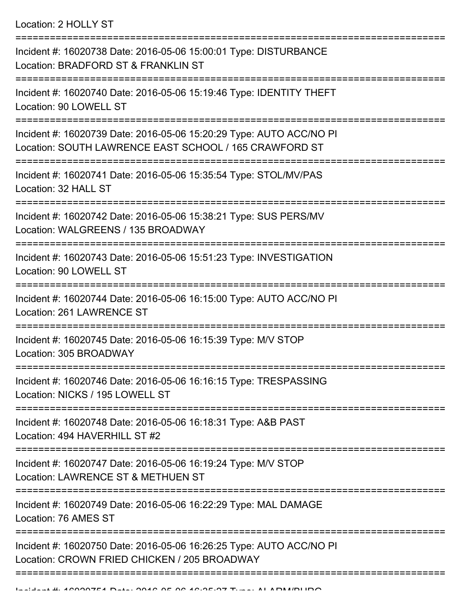Location: 2 HOLLY ST

| Incident #: 16020738 Date: 2016-05-06 15:00:01 Type: DISTURBANCE<br>Location: BRADFORD ST & FRANKLIN ST                       |
|-------------------------------------------------------------------------------------------------------------------------------|
| Incident #: 16020740 Date: 2016-05-06 15:19:46 Type: IDENTITY THEFT<br>Location: 90 LOWELL ST                                 |
| Incident #: 16020739 Date: 2016-05-06 15:20:29 Type: AUTO ACC/NO PI<br>Location: SOUTH LAWRENCE EAST SCHOOL / 165 CRAWFORD ST |
| Incident #: 16020741 Date: 2016-05-06 15:35:54 Type: STOL/MV/PAS<br>Location: 32 HALL ST                                      |
| Incident #: 16020742 Date: 2016-05-06 15:38:21 Type: SUS PERS/MV<br>Location: WALGREENS / 135 BROADWAY                        |
| Incident #: 16020743 Date: 2016-05-06 15:51:23 Type: INVESTIGATION<br>Location: 90 LOWELL ST                                  |
| Incident #: 16020744 Date: 2016-05-06 16:15:00 Type: AUTO ACC/NO PI<br>Location: 261 LAWRENCE ST                              |
| Incident #: 16020745 Date: 2016-05-06 16:15:39 Type: M/V STOP<br>Location: 305 BROADWAY                                       |
| Incident #: 16020746 Date: 2016-05-06 16:16:15 Type: TRESPASSING<br>Location: NICKS / 195 LOWELL ST                           |
| Incident #: 16020748 Date: 2016-05-06 16:18:31 Type: A&B PAST<br>Location: 494 HAVERHILL ST #2                                |
| Incident #: 16020747 Date: 2016-05-06 16:19:24 Type: M/V STOP<br>Location: LAWRENCE ST & METHUEN ST                           |
| Incident #: 16020749 Date: 2016-05-06 16:22:29 Type: MAL DAMAGE<br>Location: 76 AMES ST                                       |
| Incident #: 16020750 Date: 2016-05-06 16:26:25 Type: AUTO ACC/NO PI<br>Location: CROWN FRIED CHICKEN / 205 BROADWAY           |
|                                                                                                                               |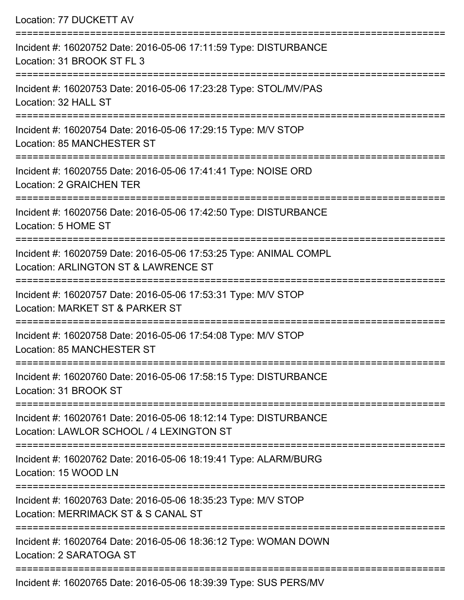| Location: 77 DUCKETT AV                                                                                                             |
|-------------------------------------------------------------------------------------------------------------------------------------|
| Incident #: 16020752 Date: 2016-05-06 17:11:59 Type: DISTURBANCE<br>Location: 31 BROOK ST FL 3                                      |
| Incident #: 16020753 Date: 2016-05-06 17:23:28 Type: STOL/MV/PAS<br>Location: 32 HALL ST                                            |
| Incident #: 16020754 Date: 2016-05-06 17:29:15 Type: M/V STOP<br>Location: 85 MANCHESTER ST<br>:==================================  |
| Incident #: 16020755 Date: 2016-05-06 17:41:41 Type: NOISE ORD<br><b>Location: 2 GRAICHEN TER</b>                                   |
| Incident #: 16020756 Date: 2016-05-06 17:42:50 Type: DISTURBANCE<br>Location: 5 HOME ST                                             |
| Incident #: 16020759 Date: 2016-05-06 17:53:25 Type: ANIMAL COMPL<br>Location: ARLINGTON ST & LAWRENCE ST<br>:===================== |
| Incident #: 16020757 Date: 2016-05-06 17:53:31 Type: M/V STOP<br>Location: MARKET ST & PARKER ST                                    |
| Incident #: 16020758 Date: 2016-05-06 17:54:08 Type: M/V STOP<br>Location: 85 MANCHESTER ST                                         |
| Incident #: 16020760 Date: 2016-05-06 17:58:15 Type: DISTURBANCE<br>Location: 31 BROOK ST                                           |
| Incident #: 16020761 Date: 2016-05-06 18:12:14 Type: DISTURBANCE<br>Location: LAWLOR SCHOOL / 4 LEXINGTON ST                        |
| Incident #: 16020762 Date: 2016-05-06 18:19:41 Type: ALARM/BURG<br>Location: 15 WOOD LN                                             |
| Incident #: 16020763 Date: 2016-05-06 18:35:23 Type: M/V STOP<br>Location: MERRIMACK ST & S CANAL ST                                |
| Incident #: 16020764 Date: 2016-05-06 18:36:12 Type: WOMAN DOWN<br>Location: 2 SARATOGA ST                                          |
|                                                                                                                                     |

Incident #: 16020765 Date: 2016-05-06 18:39:39 Type: SUS PERS/MV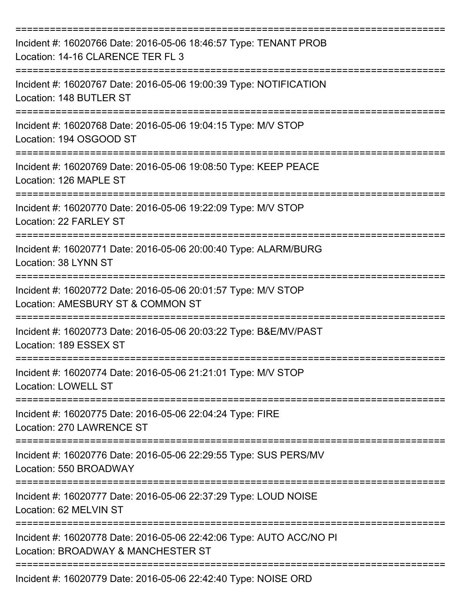| Incident #: 16020766 Date: 2016-05-06 18:46:57 Type: TENANT PROB<br>Location: 14-16 CLARENCE TER FL 3     |
|-----------------------------------------------------------------------------------------------------------|
| Incident #: 16020767 Date: 2016-05-06 19:00:39 Type: NOTIFICATION<br>Location: 148 BUTLER ST              |
| Incident #: 16020768 Date: 2016-05-06 19:04:15 Type: M/V STOP<br>Location: 194 OSGOOD ST                  |
| Incident #: 16020769 Date: 2016-05-06 19:08:50 Type: KEEP PEACE<br>Location: 126 MAPLE ST                 |
| Incident #: 16020770 Date: 2016-05-06 19:22:09 Type: M/V STOP<br>Location: 22 FARLEY ST                   |
| Incident #: 16020771 Date: 2016-05-06 20:00:40 Type: ALARM/BURG<br>Location: 38 LYNN ST                   |
| Incident #: 16020772 Date: 2016-05-06 20:01:57 Type: M/V STOP<br>Location: AMESBURY ST & COMMON ST        |
| Incident #: 16020773 Date: 2016-05-06 20:03:22 Type: B&E/MV/PAST<br>Location: 189 ESSEX ST                |
| Incident #: 16020774 Date: 2016-05-06 21:21:01 Type: M/V STOP<br><b>Location: LOWELL ST</b>               |
| Incident #: 16020775 Date: 2016-05-06 22:04:24 Type: FIRE<br>Location: 270 LAWRENCE ST                    |
| Incident #: 16020776 Date: 2016-05-06 22:29:55 Type: SUS PERS/MV<br>Location: 550 BROADWAY                |
| Incident #: 16020777 Date: 2016-05-06 22:37:29 Type: LOUD NOISE<br>Location: 62 MELVIN ST                 |
| Incident #: 16020778 Date: 2016-05-06 22:42:06 Type: AUTO ACC/NO PI<br>Location: BROADWAY & MANCHESTER ST |
| Incident #: 16020779 Date: 2016-05-06 22:42:40 Type: NOISE ORD                                            |